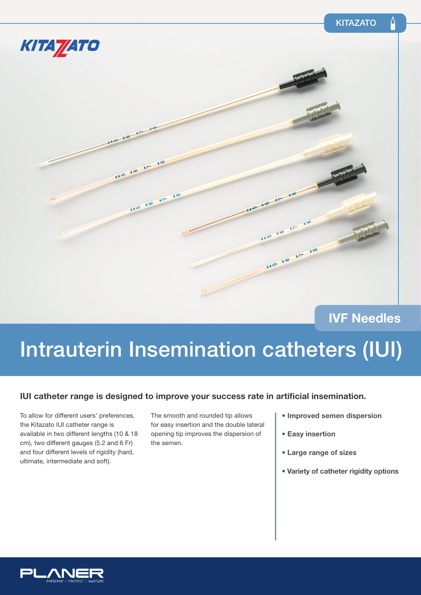

**IVF Needles**

# Intrauterin Insemination catheters (IUI)

### **IUI catheter range is designed to improve your success rate in artificial insemination.**

To allow for different users' preferences, the Kitazato IUI catheter range is available in two different lengths (10 & 18 cm), two different gauges (5.2 and 6 Fr) and four different levels of rigidity (hard, ultimate, intermediate and soft).

The smooth and rounded tip allows for easy insertion and the double lateral opening tip improves the dispersion of the semen.

- **Improved semen dispersion**
- **Easy insertion**
- **Large range of sizes**
- **Variety of catheter rigidity options**